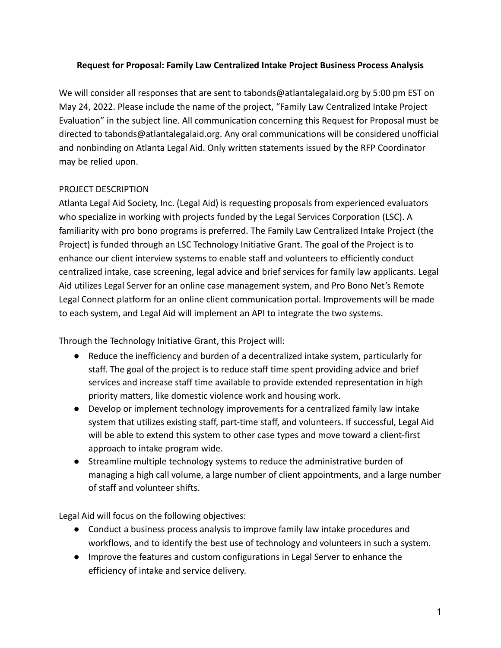### **Request for Proposal: Family Law Centralized Intake Project Business Process Analysis**

We will consider all responses that are sent to tabonds@atlantalegalaid.org by 5:00 pm EST on May 24, 2022. Please include the name of the project, "Family Law Centralized Intake Project Evaluation" in the subject line. All communication concerning this Request for Proposal must be directed to tabonds@atlantalegalaid.org. Any oral communications will be considered unofficial and nonbinding on Atlanta Legal Aid. Only written statements issued by the RFP Coordinator may be relied upon.

### PROJECT DESCRIPTION

Atlanta Legal Aid Society, Inc. (Legal Aid) is requesting proposals from experienced evaluators who specialize in working with projects funded by the Legal Services Corporation (LSC). A familiarity with pro bono programs is preferred. The Family Law Centralized Intake Project (the Project) is funded through an LSC Technology Initiative Grant. The goal of the Project is to enhance our client interview systems to enable staff and volunteers to efficiently conduct centralized intake, case screening, legal advice and brief services for family law applicants. Legal Aid utilizes Legal Server for an online case management system, and Pro Bono Net's Remote Legal Connect platform for an online client communication portal. Improvements will be made to each system, and Legal Aid will implement an API to integrate the two systems.

Through the Technology Initiative Grant, this Project will:

- Reduce the inefficiency and burden of a decentralized intake system, particularly for staff. The goal of the project is to reduce staff time spent providing advice and brief services and increase staff time available to provide extended representation in high priority matters, like domestic violence work and housing work.
- Develop or implement technology improvements for a centralized family law intake system that utilizes existing staff, part-time staff, and volunteers. If successful, Legal Aid will be able to extend this system to other case types and move toward a client-first approach to intake program wide.
- Streamline multiple technology systems to reduce the administrative burden of managing a high call volume, a large number of client appointments, and a large number of staff and volunteer shifts.

Legal Aid will focus on the following objectives:

- Conduct a business process analysis to improve family law intake procedures and workflows, and to identify the best use of technology and volunteers in such a system.
- Improve the features and custom configurations in Legal Server to enhance the efficiency of intake and service delivery.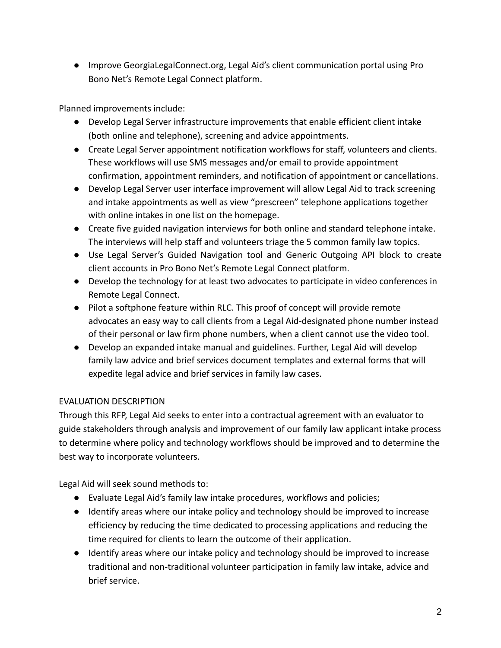● Improve GeorgiaLegalConnect.org, Legal Aid's client communication portal using Pro Bono Net's Remote Legal Connect platform.

Planned improvements include:

- Develop Legal Server infrastructure improvements that enable efficient client intake (both online and telephone), screening and advice appointments.
- Create Legal Server appointment notification workflows for staff, volunteers and clients. These workflows will use SMS messages and/or email to provide appointment confirmation, appointment reminders, and notification of appointment or cancellations.
- Develop Legal Server user interface improvement will allow Legal Aid to track screening and intake appointments as well as view "prescreen" telephone applications together with online intakes in one list on the homepage.
- Create five guided navigation interviews for both online and standard telephone intake. The interviews will help staff and volunteers triage the 5 common family law topics.
- Use Legal Server's Guided Navigation tool and Generic Outgoing API block to create client accounts in Pro Bono Net's Remote Legal Connect platform.
- Develop the technology for at least two advocates to participate in video conferences in Remote Legal Connect.
- Pilot a softphone feature within RLC. This proof of concept will provide remote advocates an easy way to call clients from a Legal Aid-designated phone number instead of their personal or law firm phone numbers, when a client cannot use the video tool.
- Develop an expanded intake manual and guidelines. Further, Legal Aid will develop family law advice and brief services document templates and external forms that will expedite legal advice and brief services in family law cases.

# EVALUATION DESCRIPTION

Through this RFP, Legal Aid seeks to enter into a contractual agreement with an evaluator to guide stakeholders through analysis and improvement of our family law applicant intake process to determine where policy and technology workflows should be improved and to determine the best way to incorporate volunteers.

Legal Aid will seek sound methods to:

- Evaluate Legal Aid's family law intake procedures, workflows and policies;
- Identify areas where our intake policy and technology should be improved to increase efficiency by reducing the time dedicated to processing applications and reducing the time required for clients to learn the outcome of their application.
- Identify areas where our intake policy and technology should be improved to increase traditional and non-traditional volunteer participation in family law intake, advice and brief service.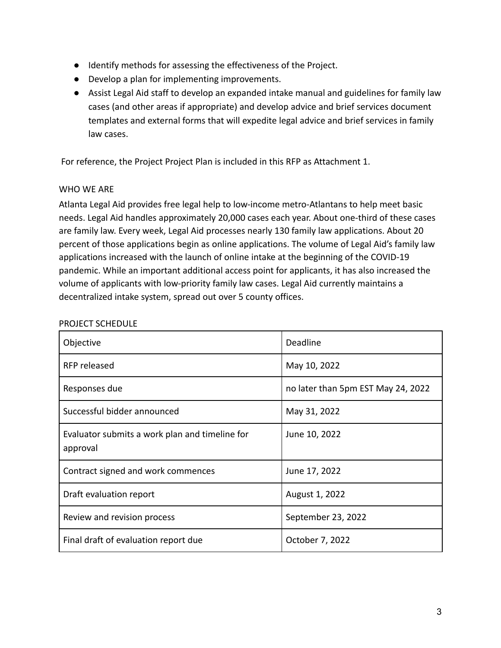- Identify methods for assessing the effectiveness of the Project.
- Develop a plan for implementing improvements.
- Assist Legal Aid staff to develop an expanded intake manual and guidelines for family law cases (and other areas if appropriate) and develop advice and brief services document templates and external forms that will expedite legal advice and brief services in family law cases.

For reference, the Project Project Plan is included in this RFP as Attachment 1.

### WHO WE ARE

Atlanta Legal Aid provides free legal help to low-income metro-Atlantans to help meet basic needs. Legal Aid handles approximately 20,000 cases each year. About one-third of these cases are family law. Every week, Legal Aid processes nearly 130 family law applications. About 20 percent of those applications begin as online applications. The volume of Legal Aid's family law applications increased with the launch of online intake at the beginning of the COVID-19 pandemic. While an important additional access point for applicants, it has also increased the volume of applicants with low-priority family law cases. Legal Aid currently maintains a decentralized intake system, spread out over 5 county offices.

| Objective                                                  | Deadline                           |
|------------------------------------------------------------|------------------------------------|
| RFP released                                               | May 10, 2022                       |
| Responses due                                              | no later than 5pm EST May 24, 2022 |
| Successful bidder announced                                | May 31, 2022                       |
| Evaluator submits a work plan and timeline for<br>approval | June 10, 2022                      |
| Contract signed and work commences                         | June 17, 2022                      |
| Draft evaluation report                                    | August 1, 2022                     |
| Review and revision process                                | September 23, 2022                 |
| Final draft of evaluation report due                       | October 7, 2022                    |

#### PROJECT SCHEDULE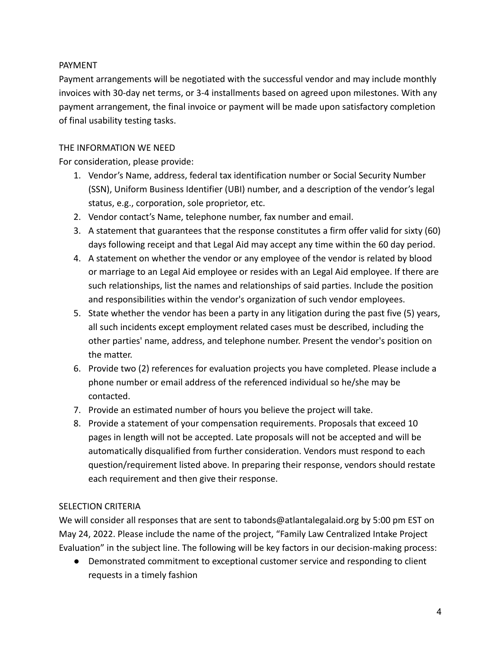## PAYMENT

Payment arrangements will be negotiated with the successful vendor and may include monthly invoices with 30‐day net terms, or 3‐4 installments based on agreed upon milestones. With any payment arrangement, the final invoice or payment will be made upon satisfactory completion of final usability testing tasks.

## THE INFORMATION WE NEED

For consideration, please provide:

- 1. Vendor's Name, address, federal tax identification number or Social Security Number (SSN), Uniform Business Identifier (UBI) number, and a description of the vendor's legal status, e.g., corporation, sole proprietor, etc.
- 2. Vendor contact's Name, telephone number, fax number and email.
- 3. A statement that guarantees that the response constitutes a firm offer valid for sixty (60) days following receipt and that Legal Aid may accept any time within the 60 day period.
- 4. A statement on whether the vendor or any employee of the vendor is related by blood or marriage to an Legal Aid employee or resides with an Legal Aid employee. If there are such relationships, list the names and relationships of said parties. Include the position and responsibilities within the vendor's organization of such vendor employees.
- 5. State whether the vendor has been a party in any litigation during the past five (5) years, all such incidents except employment related cases must be described, including the other parties' name, address, and telephone number. Present the vendor's position on the matter.
- 6. Provide two (2) references for evaluation projects you have completed. Please include a phone number or email address of the referenced individual so he/she may be contacted.
- 7. Provide an estimated number of hours you believe the project will take.
- 8. Provide a statement of your compensation requirements. Proposals that exceed 10 pages in length will not be accepted. Late proposals will not be accepted and will be automatically disqualified from further consideration. Vendors must respond to each question/requirement listed above. In preparing their response, vendors should restate each requirement and then give their response.

# SELECTION CRITERIA

We will consider all responses that are sent to tabonds@atlantalegalaid.org by 5:00 pm EST on May 24, 2022. Please include the name of the project, "Family Law Centralized Intake Project Evaluation" in the subject line. The following will be key factors in our decision-making process:

● Demonstrated commitment to exceptional customer service and responding to client requests in a timely fashion